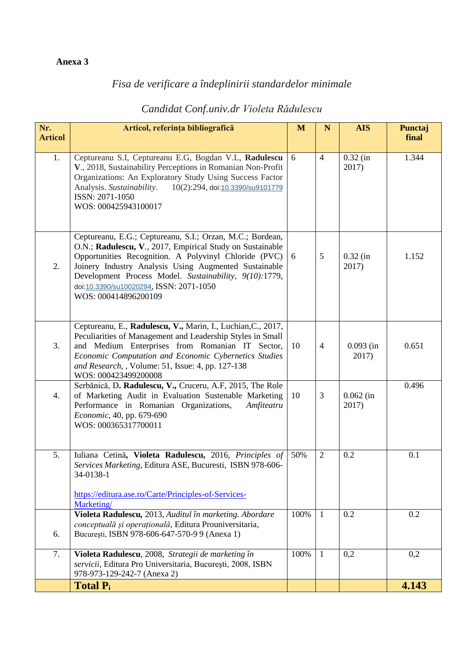## **Anexa 3**

## *Fisa de verificare a îndeplinirii standardelor minimale*

## *Candidat Conf.univ.dr Violeta Rădulescu*

| Nr.<br><b>Articol</b> | Articol, referința bibliografică                                                                                                                                                                                                                                                                                                                                      | M    | $\mathbf N$    | <b>AIS</b>           | Punctaj<br>final |
|-----------------------|-----------------------------------------------------------------------------------------------------------------------------------------------------------------------------------------------------------------------------------------------------------------------------------------------------------------------------------------------------------------------|------|----------------|----------------------|------------------|
| 1.                    | Ceptureanu S.I, Ceptureanu E.G, Bogdan V.L, Radulescu<br>V., 2018, Sustainability Perceptions in Romanian Non-Profit<br>Organizations: An Exploratory Study Using Success Factor<br>Analysis. Sustainability.<br>10(2):294, doi:10.3390/su9101779<br>ISSN: 2071-1050<br>WOS: 000425943100017                                                                          | 6    | $\overline{4}$ | $0.32$ (in<br>2017)  | 1.344            |
| 2.                    | Ceptureanu, E.G.; Ceptureanu, S.I.; Orzan, M.C.; Bordean,<br>O.N.; Radulescu, V., 2017, Empirical Study on Sustainable<br>Opportunities Recognition. A Polyvinyl Chloride (PVC)<br>Joinery Industry Analysis Using Augmented Sustainable<br>Development Process Model. Sustainability, 9(10):1779,<br>doi:10.3390/su10020294, ISSN: 2071-1050<br>WOS: 000414896200109 | 6    | 5              | $0.32$ (in<br>2017)  | 1.152            |
| 3.                    | Ceptureanu, E., Radulescu, V., Marin, I., Luchian, C., 2017,<br>Peculiarities of Management and Leadership Styles in Small<br>and Medium Enterprises from Romanian IT Sector,<br>Economic Computation and Economic Cybernetics Studies<br>and Research, , Volume: 51, Issue: 4, pp. 127-138<br>WOS: 000423499200008                                                   | 10   | $\overline{4}$ | $0.093$ (in<br>2017) | 0.651            |
| 4.                    | Serbănică, D. Radulescu, V., Cruceru, A.F, 2015, The Role<br>of Marketing Audit in Evaluation Sustenable Marketing<br>Performance in Romanian Organizations,<br>Amfiteatru<br>Economic, 40, pp. 679-690<br>WOS: 000365317700011                                                                                                                                       | 10   | 3              | $0.062$ (in<br>2017) | 0.496            |
| 5.                    | Iuliana Cetină, Violeta Radulescu, 2016, Principles of<br>Services Marketing, Editura ASE, Bucuresti, ISBN 978-606-<br>34-0138-1<br>https://editura.ase.ro/Carte/Principles-of-Services-                                                                                                                                                                              | 50%  | $\overline{2}$ | 0.2                  | 0.1              |
|                       | Marketing/<br>Violeta Radulescu, 2013, Auditul în marketing. Abordare                                                                                                                                                                                                                                                                                                 | 100% | $\overline{1}$ | 0.2                  | 0.2              |
| 6.                    | conceptuală și operațională, Editura Prouniversitaria,<br>București, ISBN 978-606-647-570-9 9 (Anexa 1)                                                                                                                                                                                                                                                               |      |                |                      |                  |
| 7.                    | Violeta Radulescu, 2008, Strategii de marketing în<br>servicii, Editura Pro Universitaria, București, 2008, ISBN<br>978-973-129-242-7 (Anexa 2)                                                                                                                                                                                                                       | 100% | $\mathbf{1}$   | 0,2                  | 0,2              |
|                       | <b>Total Pi</b>                                                                                                                                                                                                                                                                                                                                                       |      |                |                      | 4.143            |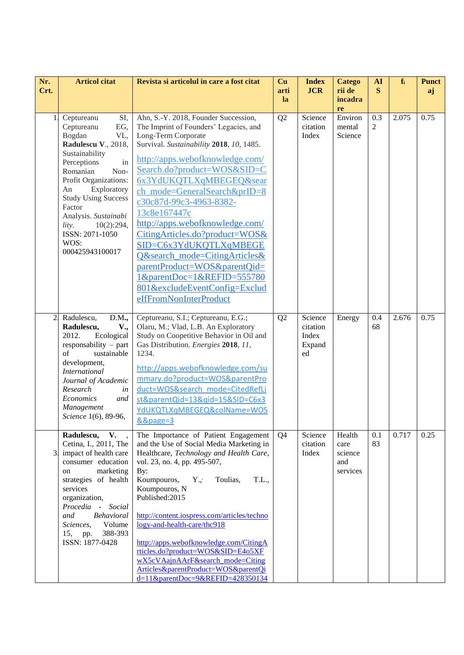| Nr.<br>Crt.    | <b>Articol citat</b>                                                                                                                                                                                                                                                                                                         | Revista si articolul in care a fost citat                                                                                                                                                                                                                                                                                                                                                                                                                                                                                                                                          | Cu<br>arti<br>la | <b>Index</b><br><b>JCR</b>                   | <b>Catego</b><br>rii de<br>incadra<br>re     | AI<br>S   | $f_i$ | <b>Punct</b><br>aj |
|----------------|------------------------------------------------------------------------------------------------------------------------------------------------------------------------------------------------------------------------------------------------------------------------------------------------------------------------------|------------------------------------------------------------------------------------------------------------------------------------------------------------------------------------------------------------------------------------------------------------------------------------------------------------------------------------------------------------------------------------------------------------------------------------------------------------------------------------------------------------------------------------------------------------------------------------|------------------|----------------------------------------------|----------------------------------------------|-----------|-------|--------------------|
|                | SI,<br>Ceptureanu<br>Ceptureanu<br>EG,<br>Bogdan<br>VL,<br>Radulescu V., 2018,<br>Sustainability<br>Perceptions<br>in<br>Romanian<br>Non-<br>Profit Organizations:<br>Exploratory<br>An<br><b>Study Using Success</b><br>Factor<br>Analysis. Sustainabi<br>lity.<br>10(2):294,<br>ISSN: 2071-1050<br>WOS:<br>000425943100017 | Ahn, S.-Y. 2018, Founder Succession,<br>The Imprint of Founders' Legacies, and<br>Long-Term Corporate<br>Survival. Sustainability 2018, 10, 1485.<br>http://apps.webofknowledge.com/<br>Search.do?product=WOS&SID=C<br>6x3YdUKQTLXqMBEGEQ&sear<br>ch_mode=GeneralSearch&prID=8<br>c30c87d-99c3-4963-8382-<br>13c8e167447c<br>http://apps.webofknowledge.com/<br>CitingArticles.do?product=WOS&<br>SID=C6x3YdUKQTLXqMBEGE<br>O&search_mode=CitingArticles&<br>parentProduct=WOS&parentQid=<br>1&parentDoc=1&REFID=555780<br>801&excludeEventConfig=Exclud<br>eIfFromNonInterProduct | Q2               | Science<br>citation<br>Index                 | Environ<br>mental<br>Science                 | 0.3<br>2  | 2.075 | 0.75               |
| $\overline{2}$ | Radulescu,<br>D.M.,<br>V.,<br>Radulescu,<br>2012.<br>Ecological<br>responsability $-$ part<br>of<br>sustainable<br>development,<br><b>International</b><br>Journal of Academic<br>Research<br>in<br>Economics<br>and<br>Management<br>Science 1(6), 89-96,                                                                   | Ceptureanu, S.I.; Ceptureanu, E.G.;<br>Olaru, M.; Vlad, L.B. An Exploratory<br>Study on Coopetitive Behavior in Oil and<br>Gas Distribution. Energies 2018, 11,<br>1234.<br>http://apps.webofknowledge.com/su<br>mmary.do?product=WOS&parentPro<br>duct=WOS&search mode=CitedRefLi<br>st&parentQid=13&qid=15&SID=C6x3<br>YdUKQTLXqMBEGEQ&colName=WOS<br>&&page=3                                                                                                                                                                                                                   | Q2               | Science<br>citation<br>Index<br>Expand<br>ed | Energy                                       | 0.4<br>68 | 2.676 | 0.75               |
| 3.             | V.<br>Radulescu,<br>$\sim$<br>Cetina, I., 2011, The<br>impact of health care<br>consumer education<br>marketing<br>on<br>strategies of health<br>services<br>organization,<br>Procedia -<br>Social<br>Behavioral<br>and<br>Sciences,<br>Volume<br>388-393<br>15,<br>pp.<br>ISSN: 1877-0428                                   | The Importance of Patient Engagement<br>and the Use of Social Media Marketing in<br>Healthcare, Technology and Health Care,<br>vol. 23, no. 4, pp. 495-507,<br>By:<br>Koumpouros,<br>$Y_{\cdot,\cdot}$<br>T.L.,<br>Toulias,<br>Koumpouros, N<br>Published:2015<br>http://content.iospress.com/articles/techno<br>$logy$ -and-health-care/thc918<br>http://apps.webofknowledge.com/CitingA<br>rticles.do?product=WOS&SID=E4o5XF<br>wX5cVAajnAArF&search_mode=Citing<br>Articles&parentProduct=WOS&parentQi<br>d=11&parentDoc=9&REFID=428350134                                      | Q <sub>4</sub>   | Science<br>citation<br>Index                 | Health<br>care<br>science<br>and<br>services | 0.1<br>83 | 0.717 | 0.25               |